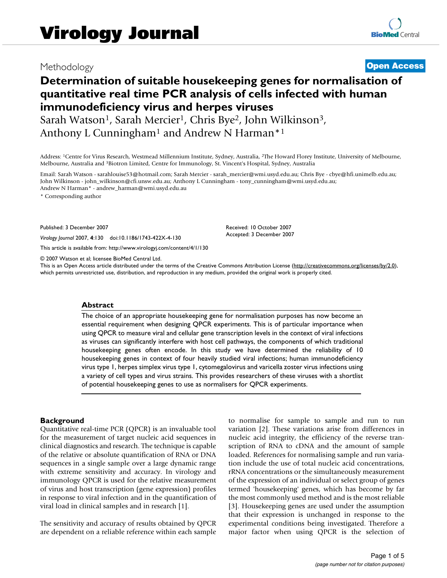# Methodology **[Open Access](http://www.biomedcentral.com/info/about/charter/)**

# **Determination of suitable housekeeping genes for normalisation of quantitative real time PCR analysis of cells infected with human immunodeficiency virus and herpes viruses**

Sarah Watson<sup>1</sup>, Sarah Mercier<sup>1</sup>, Chris Bye<sup>2</sup>, John Wilkinson<sup>3</sup>, Anthony L Cunningham<sup>1</sup> and Andrew N Harman<sup>\*1</sup>

Address: 1Centre for Virus Research, Westmead Millennium Institute, Sydney, Australia, 2The Howard Florey Institute, University of Melbourne, Melbourne, Australia and 3Biotron Limited, Centre for Immunology, St. Vincent's Hospital, Sydney, Australia

Email: Sarah Watson - sarahlouise53@hotmail.com; Sarah Mercier - sarah\_mercier@wmi.usyd.edu.au; Chris Bye - cbye@hfi.unimelb.edu.au; John Wilkinson - john\_wilkinson@cfi.unsw.edu.au; Anthony L Cunningham - tony\_cunningham@wmi.usyd.edu.au; Andrew N Harman\* - andrew\_harman@wmi.usyd.edu.au

\* Corresponding author

Published: 3 December 2007

*Virology Journal* 2007, **4**:130 doi:10.1186/1743-422X-4-130

This article is available from: http://www.virologyj.com/content/4/1/130

© 2007 Watson et al; licensee BioMed Central Ltd.

This is an Open Access article distributed under the terms of the Creative Commons Attribution License (http://creativecommons.org/licenses/by/2.0), which permits unrestricted use, distribution, and reproduction in any medium, provided the original work is properly cited.

Received: 10 October 2007 Accepted: 3 December 2007

#### **Abstract**

The choice of an appropriate housekeeping gene for normalisation purposes has now become an essential requirement when designing QPCR experiments. This is of particular importance when using QPCR to measure viral and cellular gene transcription levels in the context of viral infections as viruses can significantly interfere with host cell pathways, the components of which traditional housekeeping genes often encode. In this study we have determined the reliability of 10 housekeeping genes in context of four heavily studied viral infections; human immunodeficiency virus type 1, herpes simplex virus type 1, cytomegalovirus and varicella zoster virus infections using a variety of cell types and virus strains. This provides researchers of these viruses with a shortlist of potential housekeeping genes to use as normalisers for QPCR experiments.

#### **Background**

Quantitative real-time PCR (QPCR) is an invaluable tool for the measurement of target nucleic acid sequences in clinical diagnostics and research. The technique is capable of the relative or absolute quantification of RNA or DNA sequences in a single sample over a large dynamic range with extreme sensitivity and accuracy. In virology and immunology QPCR is used for the relative measurement of virus and host transcription (gene expression) profiles in response to viral infection and in the quantification of viral load in clinical samples and in research [1].

The sensitivity and accuracy of results obtained by QPCR are dependent on a reliable reference within each sample to normalise for sample to sample and run to run variation [2]. These variations arise from differences in nucleic acid integrity, the efficiency of the reverse transcription of RNA to cDNA and the amount of sample loaded. References for normalising sample and run variation include the use of total nucleic acid concentrations, rRNA concentrations or the simultaneously measurement of the expression of an individual or select group of genes termed 'housekeeping' genes, which has become by far the most commonly used method and is the most reliable [3]. Housekeeping genes are used under the assumption that their expression is unchanged in response to the experimental conditions being investigated. Therefore a major factor when using QPCR is the selection of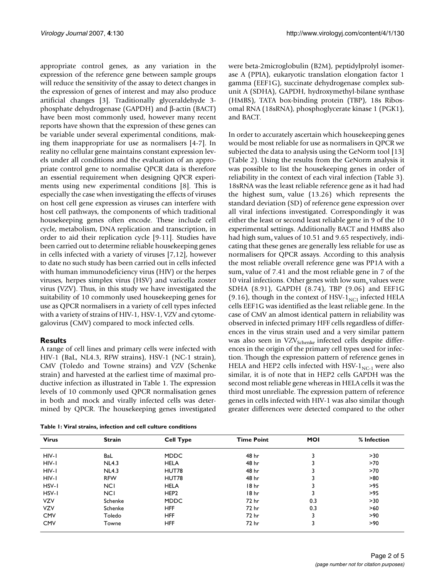appropriate control genes, as any variation in the expression of the reference gene between sample groups will reduce the sensitivity of the assay to detect changes in the expression of genes of interest and may also produce artificial changes [3]. Traditionally glyceraldehyde 3 phosphate dehydrogenase (GAPDH) and β-actin (BACT) have been most commonly used, however many recent reports have shown that the expression of these genes can be variable under several experimental conditions, making them inappropriate for use as normalisers [4-7]. In reality no cellular gene maintains constant expression levels under all conditions and the evaluation of an appropriate control gene to normalise QPCR data is therefore an essential requirement when designing QPCR experiments using new experimental conditions [8]. This is especially the case when investigating the effects of viruses on host cell gene expression as viruses can interfere with host cell pathways, the components of which traditional housekeeping genes often encode. These include cell cycle, metabolism, DNA replication and transcription, in order to aid their replication cycle [9-11]. Studies have been carried out to determine reliable housekeeping genes in cells infected with a variety of viruses [7,12], however to date no such study has been carried out in cells infected with human immunodeficiency virus (HIV) or the herpes viruses, herpes simplex virus (HSV) and varicella zoster virus (VZV). Thus, in this study we have investigated the suitability of 10 commonly used housekeeping genes for use as QPCR normalisers in a variety of cell types infected with a variety of strains of HIV-1, HSV-1, VZV and cytomegalovirus (CMV) compared to mock infected cells.

### **Results**

A range of cell lines and primary cells were infected with HIV-1 (BaL, NL4.3, RFW strains), HSV-1 (NC-1 strain), CMV (Toledo and Towne strains) and VZV (Schenke strain) and harvested at the earliest time of maximal productive infection as illustrated in Table 1. The expression levels of 10 commonly used QPCR normalisation genes in both and mock and virally infected cells was determined by QPCR. The housekeeping genes investigated

**Table 1: Viral strains, infection and cell culture conditions**

were beta-2microglobulin (B2M), peptidylprolyl isomerase A (PPIA), eukaryotic translation elongation factor 1 gamma (EEF1G), succinate dehydrogenase complex subunit A (SDHA), GAPDH, hydroxymethyl-bilane synthase (HMBS), TATA box-binding protein (TBP), 18s Ribosomal RNA (18sRNA), phosphoglycerate kinase 1 (PGK1), and BACT.

In order to accurately ascertain which housekeeping genes would be most reliable for use as normalisers in QPCR we subjected the data to analysis using the GeNorm tool [13] (Table 2). Using the results from the GeNorm analysis it was possible to list the housekeeping genes in order of reliability in the context of each viral infection (Table 3). 18sRNA was the least reliable reference gene as it had had the highest sum, value  $(13.26)$  which represents the standard deviation (SD) of reference gene expression over all viral infections investigated. Correspondingly it was either the least or second least reliable gene in 9 of the 10 experimental settings. Additionally BACT and HMBS also had high sum $_{\rm v}$  values of 10.51 and 9.65 respectively, indicating that these genes are generally less reliable for use as normalisers for QPCR assays. According to this analysis the most reliable overall reference gene was PP1A with a sum, value of  $7.41$  and the most reliable gene in  $7$  of the 10 viral infections. Other genes with low  $sum_{v}$  values were SDHA (8.91), GAPDH (8.74), TBP (9.06) and EEF1G (9.16), though in the context of HSV- $1<sub>NC1</sub>$  infected HELA cells EEF1G was identified as the least reliable gene. In the case of CMV an almost identical pattern in reliability was observed in infected primary HFF cells regardless of differences in the virus strain used and a very similar pattern was also seen in  $VZV<sub>Schenke</sub>$  infected cells despite differences in the origin of the primary cell types used for infection. Though the expression pattern of reference genes in HELA and HEP2 cells infected with HSV- $1_{NC-1}$  were also similar, it is of note that in HEP2 cells GAPDH was the second most reliable gene whereas in HELA cells it was the third most unreliable. The expression pattern of reference genes in cells infected with HIV-1 was also similar though greater differences were detected compared to the other

| <b>Virus</b> | <b>Strain</b> | <b>Cell Type</b> | <b>Time Point</b> | <b>MOI</b> | % Infection<br>>30 |  |
|--------------|---------------|------------------|-------------------|------------|--------------------|--|
| HIV-I        | BaL           | <b>MDDC</b>      | 48 hr             | 3          |                    |  |
| HIV-I        | <b>NL4.3</b>  | <b>HELA</b>      | 48 hr             |            | >70                |  |
| HIV-I        | <b>NL4.3</b>  | HUT78            | 48 hr             | 3          | >70                |  |
| HIV-I        | <b>RFW</b>    | HUT78            | 48 hr             |            | >80                |  |
| HSV-I        | <b>NCI</b>    | <b>HELA</b>      | 18 <sub>hr</sub>  |            | >95                |  |
| HSV-I        | <b>NCI</b>    | HEP <sub>2</sub> | 18 <sub>hr</sub>  | 3          | >95                |  |
| <b>VZV</b>   | Schenke       | <b>MDDC</b>      | 72 hr             | 0.3        | >30                |  |
| <b>VZV</b>   | Schenke       | <b>HFF</b>       | 72 hr             | 0.3        | >60                |  |
| <b>CMV</b>   | Toledo        | <b>HFF</b>       | 72 hr             | 3          | >90                |  |
| <b>CMV</b>   | Towne         | <b>HFF</b>       | 72 hr             | 3          | >90                |  |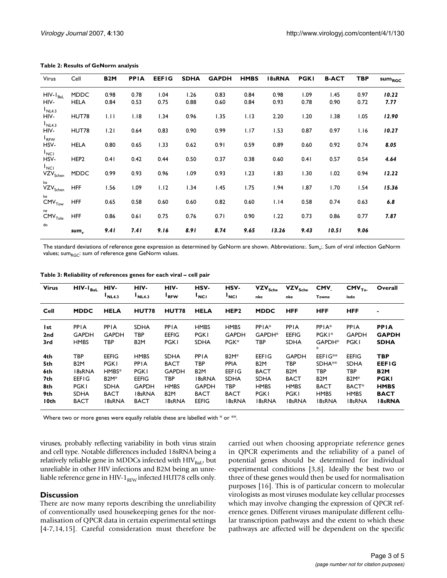| Virus                                 | Cell             | B <sub>2</sub> M | <b>PPIA</b> | <b>EEFIG</b> | <b>SDHA</b> | <b>GAPDH</b> | <b>HMBS</b> | 18sRNA | <b>PGKI</b> | <b>B-ACT</b> | <b>TBP</b> | $sum_{RGC}$ |
|---------------------------------------|------------------|------------------|-------------|--------------|-------------|--------------|-------------|--------|-------------|--------------|------------|-------------|
| $HIV-IBal$                            | <b>MDDC</b>      | 0.98             | 0.78        | 1.04         | 1.26        | 0.83         | 0.84        | 0.98   | 1.09        | 1.45         | 0.97       | 10.22       |
| HIV-                                  | <b>HELA</b>      | 0.84             | 0.53        | 0.75         | 0.88        | 0.60         | 0.84        | 0.93   | 0.78        | 0.90         | 0.72       | 7.77        |
| $I_{NL4.3}$<br>HIV-<br>$I_{NL4.3}$    | HUT78            | 1.11             | 1.18        | 1.34         | 0.96        | 1.35         | 1.13        | 2.20   | 1.20        | 1.38         | 1.05       | 12.90       |
| HIV-                                  | HUT78            | 1.21             | 0.64        | 0.83         | 0.90        | 0.99         | 1.17        | 1.53   | 0.87        | 0.97         | 1.16       | 10.27       |
| $I_{RFW}$<br>HSV-                     | <b>HELA</b>      | 0.80             | 0.65        | 1.33         | 0.62        | 0.91         | 0.59        | 0.89   | 0.60        | 0.92         | 0.74       | 8.05        |
| $I_{\text{NC}}$<br>HSV-               | HEP <sub>2</sub> | 0.41             | 0.42        | 0.44         | 0.50        | 0.37         | 0.38        | 0.60   | 0.41        | 0.57         | 0.54       | 4.64        |
| $I_{NC1}$<br>VZV <sub>Schen</sub>     | <b>MDDC</b>      | 0.99             | 0.93        | 0.96         | 1.09        | 0.93         | 1.23        | 1.83   | 1.30        | 1.02         | 0.94       | 12.22       |
| <sub>ke</sub><br>VZV <sub>Schen</sub> | <b>HFF</b>       | 1.56             | 1.09        | 1.12         | 1.34        | 1.45         | 1.75        | 1.94   | 1.87        | 1.70         | 1.54       | 15.36       |
| ke<br>CMV <sub>Tow</sub>              | <b>HFF</b>       | 0.65             | 0.58        | 0.60         | 0.60        | 0.82         | 0.60        | 1.14   | 0.58        | 0.74         | 0.63       | 6.8         |
| $M_{\text{Tole}}$                     | <b>HFF</b>       | 0.86             | 0.61        | 0.75         | 0.76        | 0.71         | 0.90        | 1.22   | 0.73        | 0.86         | 0.77       | 7.87        |
| do                                    | sum <sub>v</sub> | 9.41             | 7.41        | 9.16         | 8.91        | 8.74         | 9.65        | 13.26  | 9.43        | 10.51        | 9.06       |             |

#### **Table 2: Results of GeNorm analysis**

The standard deviations of reference gene expression as determined by GeNorm are shown. Abbreviations:. Sum... Sum of viral infection GeNorm values; sum $_{RGC}$ : sum of reference gene GeNorm values.

| <b>Virus</b>                                               | $HIV-IBal$                                                                              | HIV-<br>$I_{NL4.3}$                                                             | HIV-<br>I <sub>NL4.3</sub>                                                                         | HIV-<br><sup>I</sup> <sub>RFW</sub>                                                            | HSV-<br>$I_{\text{NC}}$                                                                         | HSV-<br>$I_{\text{NCI}}$                                                                    | <b>VZV</b> <sub>Sche</sub><br>nke                                                                      | VZV <sub>Sche</sub><br>nke                                                                     | CMV<br><b>Towne</b>                                                                                | CMV <sub>To</sub><br>ledo                                                                              | Overall                                                                                               |
|------------------------------------------------------------|-----------------------------------------------------------------------------------------|---------------------------------------------------------------------------------|----------------------------------------------------------------------------------------------------|------------------------------------------------------------------------------------------------|-------------------------------------------------------------------------------------------------|---------------------------------------------------------------------------------------------|--------------------------------------------------------------------------------------------------------|------------------------------------------------------------------------------------------------|----------------------------------------------------------------------------------------------------|--------------------------------------------------------------------------------------------------------|-------------------------------------------------------------------------------------------------------|
| Cell                                                       | <b>MDDC</b>                                                                             | <b>HELA</b>                                                                     | HUT78                                                                                              | HUT78                                                                                          | <b>HELA</b>                                                                                     | HEP <sub>2</sub>                                                                            | <b>MDDC</b>                                                                                            | <b>HFF</b>                                                                                     | <b>HFF</b>                                                                                         | <b>HFF</b>                                                                                             | ٠                                                                                                     |
| l st<br>2nd<br>3rd                                         | PPIA<br><b>GAPDH</b><br><b>HMBS</b>                                                     | PPIA<br><b>GAPDH</b><br>TBP                                                     | <b>SDHA</b><br>TBP<br>B <sub>2</sub> M                                                             | PPIA<br><b>EEFIG</b><br><b>PGK1</b>                                                            | <b>HMBS</b><br><b>PGK1</b><br><b>SDHA</b>                                                       | <b>HMBS</b><br><b>GAPDH</b><br>PGK*                                                         | PPIA <sup>*</sup><br>GAPDH*<br>TBP                                                                     | PPIA<br><b>EEFIG</b><br><b>SDHA</b>                                                            | PPIA <sup>*</sup><br>PGK1*<br>GAPDH <sup>*</sup><br>*.                                             | PPIA<br><b>GAPDH</b><br><b>PGK1</b>                                                                    | <b>PPIA</b><br><b>GAPDH</b><br><b>SDHA</b>                                                            |
| 4th<br>5th<br>6th<br>7th<br>8th<br>9th<br>10 <sub>th</sub> | TBP<br>B <sub>2</sub> M<br>18sRNA<br><b>EEFIG</b><br><b>PGKI</b><br><b>SDHA</b><br>BACT | <b>EEFIG</b><br><b>PGK1</b><br>HMBS*<br>$B2M*$<br><b>SDHA</b><br>BACT<br>18sRNA | <b>HMBS</b><br><b>PPIA</b><br><b>PGK1</b><br><b>EEFIG</b><br><b>GAPDH</b><br>18sRNA<br><b>BACT</b> | <b>SDHA</b><br><b>BACT</b><br><b>GAPDH</b><br>TBP<br><b>HMBS</b><br>B <sub>2</sub> M<br>18sRNA | PPIA<br><b>TBP</b><br>B <sub>2</sub> M<br>18sRNA<br><b>GAPDH</b><br><b>BACT</b><br><b>EEFIG</b> | $B2M*$<br><b>PPIA</b><br><b>EEFIG</b><br><b>SDHA</b><br><b>TBP</b><br><b>BACT</b><br>18sRNA | <b>EEFIG</b><br>B <sub>2</sub> M<br><b>BACT</b><br><b>SDHA</b><br><b>HMBS</b><br><b>PGK1</b><br>18sRNA | <b>GAPDH</b><br>TBP<br>B <sub>2</sub> M<br><b>BACT</b><br><b>HMBS</b><br><b>PGK1</b><br>18sRNA | $EEFIG**$<br>SDHA <sup>**</sup><br>TBP<br>B <sub>2</sub> M<br><b>BACT</b><br><b>HMBS</b><br>18sRNA | <b>EEFIG</b><br><b>SDHA</b><br><b>TBP</b><br><b>B2M*</b><br>BACT <sup>*</sup><br><b>HMBS</b><br>18sRNA | <b>TBP</b><br><b>EEFIG</b><br>B <sub>2</sub> M<br><b>PGKI</b><br><b>HMBS</b><br><b>BACT</b><br>18sRNA |

Where two or more genes were equally reliable these are labelled with  $*$  or  $**$ .

viruses, probably reflecting variability in both virus strain and cell type. Notable differences included 18sRNA being a relatively reliable gene in MDDCs infected with  $HIV_{BaL}$ , but unreliable in other HIV infections and B2M being an unreliable reference gene in HIV- $1_{RFW}$  infected HUT78 cells only.

#### **Discussion**

There are now many reports describing the unreliability of conventionally used housekeeping genes for the normalisation of QPCR data in certain experimental settings [4-7,14,15]. Careful consideration must therefore be

carried out when choosing appropriate reference genes in QPCR experiments and the reliability of a panel of potential genes should be determined for individual experimental conditions [3,8]. Ideally the best two or three of these genes would then be used for normalisation purposes [16]. This is of particular concern to molecular virologists as most viruses modulate key cellular processes which may involve changing the expression of QPCR reference genes. Different viruses manipulate different cellular transcription pathways and the extent to which these pathways are affected will be dependent on the specific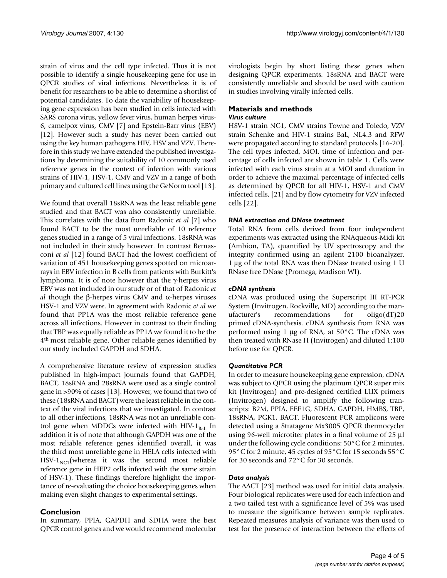strain of virus and the cell type infected. Thus it is not possible to identify a single housekeeping gene for use in QPCR studies of viral infections. Nevertheless it is of benefit for researchers to be able to determine a shortlist of potential candidates. To date the variability of housekeeping gene expression has been studied in cells infected with SARS corona virus, yellow fever virus, human herpes virus-6, camelpox virus, CMV [7] and Epstein-Barr virus (EBV) [12]. However such a study has never been carried out using the key human pathogens HIV, HSV and VZV. Therefore in this study we have extended the published investigations by determining the suitability of 10 commonly used reference genes in the context of infection with various strains of HIV-1, HSV-1, CMV and VZV in a range of both primary and cultured cell lines using the GeNorm tool [13].

We found that overall 18sRNA was the least reliable gene studied and that BACT was also consistently unreliable. This correlates with the data from Radonic *et al* [7] who found BACT to be the most unreliable of 10 reference genes studied in a range of 5 viral infections. 18sRNA was not included in their study however. In contrast Bernasconi *et al* [12] found BACT had the lowest coefficient of variation of 451 housekeeping genes spotted on microarrays in EBV infection in B cells from patients with Burkitt's lymphoma. It is of note however that the γ-herpes virus EBV was not included in our study or of that of Radonic *et al* though the β-herpes virus CMV and α-herpes viruses HSV-1 and VZV were. In agreement with Radonic *et al* we found that PP1A was the most reliable reference gene across all infections. However in contrast to their finding that TBP was equally reliable as PP1A we found it to be the 4th most reliable gene. Other reliable genes identified by our study included GAPDH and SDHA.

A comprehensive literature review of expression studies published in high-impact journals found that GAPDH, BACT, 18sRNA and 28sRNA were used as a single control gene in >90% of cases [13]. However, we found that two of these (18sRNA and BACT) were the least reliable in the context of the viral infections that we investigated. In contrast to all other infections, 18sRNA was not an unreliable control gene when MDDCs were infected with HIV- $1_{BaL}$  In addition it is of note that although GAPDH was one of the most reliable reference genes identified overall, it was the third most unreliable gene in HELA cells infected with HSV-1 $_{NC1}$ (whereas it was the second most reliable reference gene in HEP2 cells infected with the same strain of HSV-1). These findings therefore highlight the importance of re-evaluating the choice housekeeping genes when making even slight changes to experimental settings.

### **Conclusion**

In summary, PPIA, GAPDH and SDHA were the best QPCR control genes and we would recommend molecular virologists begin by short listing these genes when designing QPCR experiments. 18sRNA and BACT were consistently unreliable and should be used with caution in studies involving virally infected cells.

## **Materials and methods**

#### *Virus culture*

HSV-1 strain NC1, CMV strains Towne and Toledo, VZV strain Schenke and HIV-1 strains BaL, NL4.3 and RFW were propagated according to standard protocols [16-20]. The cell types infected, MOI, time of infection and percentage of cells infected are shown in table 1. Cells were infected with each virus strain at a MOI and duration in order to achieve the maximal percentage of infected cells as determined by QPCR for all HIV-1, HSV-1 and CMV infected cells, [21] and by flow cytometry for VZV infected cells [22].

#### *RNA extraction and DNase treatment*

Total RNA from cells derived from four independent experiments was extracted using the RNAqueous-Midi kit (Ambion, TA), quantified by UV spectroscopy and the integrity confirmed using an agilent 2100 bioanalyzer. 1 μg of the total RNA was then DNase treated using 1 U RNase free DNase (Promega, Madison WI).

#### *cDNA synthesis*

cDNA was produced using the Superscript III RT-PCR System (Invitrogen, Rockville, MD) according to the manufacturer's recommendations for oligo(dT)20 primed cDNA-synthesis. cDNA synthesis from RNA was performed using 1 μg of RNA, at 50°C. The cDNA was then treated with RNase H (Invitrogen) and diluted 1:100 before use for QPCR.

#### *Quantitative PCR*

In order to measure housekeeping gene expression, cDNA was subject to QPCR using the platinum QPCR super mix kit (Invitrogen) and pre-designed certified LUX primers (Invitrogen) designed to amplify the following transcripts: B2M, PPIA, EEF1G, SDHA, GAPDH, HMBS, TBP, 18sRNA, PGK1, BACT. Fluorescent PCR amplicons were detected using a Stratagene Mx3005 QPCR thermocycler using 96-well microtiter plates in a final volume of 25 μl under the following cycle conditions: 50°C for 2 minutes, 95°C for 2 minute, 45 cycles of 95°C for 15 seconds 55°C for 30 seconds and 72°C for 30 seconds.

#### *Data analysis*

The  $\Delta\Delta$ CT [23] method was used for initial data analysis. Four biological replicates were used for each infection and a two tailed test with a significance level of 5% was used to measure the significance between sample replicates. Repeated measures analysis of variance was then used to test for the presence of interaction between the effects of